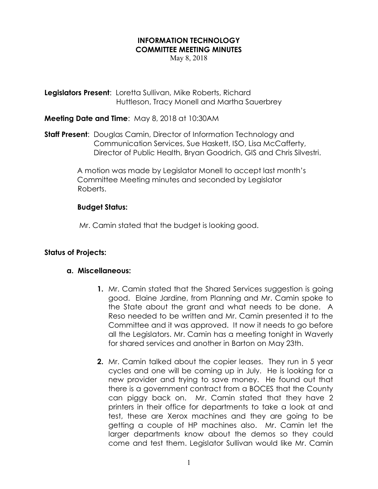## INFORMATION TECHNOLOGY COMMITTEE MEETING MINUTES

May 8, 2018

Legislators Present: Loretta Sullivan, Mike Roberts, Richard Huttleson, Tracy Monell and Martha Sauerbrey

Meeting Date and Time: May 8, 2018 at 10:30AM

**Staff Present:** Douglas Camin, Director of Information Technology and Communication Services, Sue Haskett, ISO, Lisa McCafferty, Director of Public Health, Bryan Goodrich, GIS and Chris Silvestri.

> A motion was made by Legislator Monell to accept last month's Committee Meeting minutes and seconded by Legislator Roberts.

## Budget Status:

Mr. Camin stated that the budget is looking good.

## Status of Projects:

## a. Miscellaneous:

- 1. Mr. Camin stated that the Shared Services suggestion is going good. Elaine Jardine, from Planning and Mr. Camin spoke to the State about the grant and what needs to be done. A Reso needed to be written and Mr. Camin presented it to the Committee and it was approved. It now it needs to go before all the Legislators. Mr. Camin has a meeting tonight in Waverly for shared services and another in Barton on May 23th.
- 2. Mr. Camin talked about the copier leases. They run in 5 year cycles and one will be coming up in July. He is looking for a new provider and trying to save money. He found out that there is a government contract from a BOCES that the County can piggy back on. Mr. Camin stated that they have 2 printers in their office for departments to take a look at and test, these are Xerox machines and they are going to be getting a couple of HP machines also. Mr. Camin let the larger departments know about the demos so they could come and test them. Legislator Sullivan would like Mr. Camin